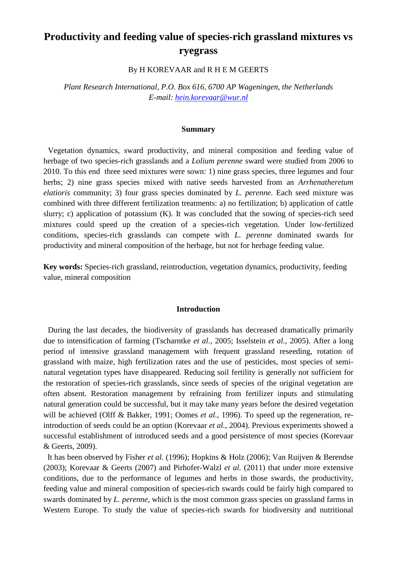# **Productivity and feeding value of species-rich grassland mixtures vs ryegrass**

By H KOREVAAR and R H E M GEERTS

*Plant Research International, P.O. Box 616, 6700 AP Wageningen, the Netherlands E-mail: [hein.korevaar@wur.nl](mailto:hein.korevaar@wur.nlhein)*

#### **Summary**

 Vegetation dynamics, sward productivity, and mineral composition and feeding value of herbage of two species-rich grasslands and a *Lolium perenne* sward were studied from 2006 to 2010. To this end three seed mixtures were sown: 1) nine grass species, three legumes and four herbs; 2) nine grass species mixed with native seeds harvested from an *Arrhenatheretum elatioris* community; 3) four grass species dominated by *L. perenne.* Each seed mixture was combined with three different fertilization treatments: a) no fertilization; b) application of cattle slurry; c) application of potassium (K). It was concluded that the sowing of species-rich seed mixtures could speed up the creation of a species-rich vegetation. Under low-fertilized conditions, species-rich grasslands can compete with *L. perenne* dominated swards for productivity and mineral composition of the herbage, but not for herbage feeding value.

**Key words:** Species-rich grassland, reintroduction, vegetation dynamics, productivity, feeding value, mineral composition

### **Introduction**

 During the last decades, the biodiversity of grasslands has decreased dramatically primarily due to intensification of farming (Tscharntke *et al.*, 2005; Isselstein *et al.*, 2005). After a long period of intensive grassland management with frequent grassland reseeding, rotation of grassland with maize, high fertilization rates and the use of pesticides, most species of seminatural vegetation types have disappeared. Reducing soil fertility is generally not sufficient for the restoration of species-rich grasslands, since seeds of species of the original vegetation are often absent. Restoration management by refraining from fertilizer inputs and stimulating natural generation could be successful, but it may take many years before the desired vegetation will be achieved (Olff & Bakker, 1991; Oomes *et al.*, 1996). To speed up the regeneration, reintroduction of seeds could be an option (Korevaar *et al.*, 2004). Previous experiments showed a successful establishment of introduced seeds and a good persistence of most species (Korevaar & Geerts, 2009).

 It has been observed by Fisher *et al.* (1996); Hopkins & Holz (2006); Van Ruijven & Berendse (2003); Korevaar & Geerts (2007) and Pirhofer-Walzl *et al.* (2011) that under more extensive conditions, due to the performance of legumes and herbs in those swards, the productivity, feeding value and mineral composition of species-rich swards could be fairly high compared to swards dominated by *L. perenne*, which is the most common grass species on grassland farms in Western Europe. To study the value of species-rich swards for biodiversity and nutritional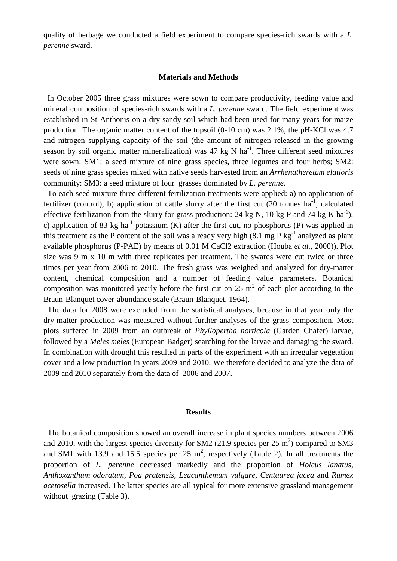quality of herbage we conducted a field experiment to compare species-rich swards with a *L. perenne* sward.

## **Materials and Methods**

 In October 2005 three grass mixtures were sown to compare productivity, feeding value and mineral composition of species-rich swards with a *L. perenne* sward. The field experiment was established in St Anthonis on a dry sandy soil which had been used for many years for maize production. The organic matter content of the topsoil (0-10 cm) was 2.1%, the pH-KCl was 4.7 and nitrogen supplying capacity of the soil (the amount of nitrogen released in the growing season by soil organic matter mineralization) was 47 kg N  $ha^{-1}$ . Three different seed mixtures were sown: SM1: a seed mixture of nine grass species, three legumes and four herbs; SM2: seeds of nine grass species mixed with native seeds harvested from an *Arrhenatheretum elatioris* community: SM3: a seed mixture of four grasses dominated by *L. perenne.*

 To each seed mixture three different fertilization treatments were applied: a) no application of fertilizer (control); b) application of cattle slurry after the first cut  $(20 \text{ tonnes ha}^{-1})$ ; calculated effective fertilization from the slurry for grass production: 24 kg N, 10 kg P and 74 kg K ha<sup>-1</sup>); c) application of 83 kg ha<sup>-1</sup> potassium (K) after the first cut, no phosphorus (P) was applied in this treatment as the P content of the soil was already very high  $(8.1 \text{ mg } P \text{ kg}^{-1})$  analyzed as plant available phosphorus (P-PAE) by means of 0.01 M CaCl2 extraction (Houba *et al.*, 2000)). Plot size was 9 m x 10 m with three replicates per treatment. The swards were cut twice or three times per year from 2006 to 2010. The fresh grass was weighed and analyzed for dry-matter content, chemical composition and a number of feeding value parameters. Botanical composition was monitored yearly before the first cut on  $25 \text{ m}^2$  of each plot according to the Braun-Blanquet cover-abundance scale (Braun-Blanquet, 1964).

 The data for 2008 were excluded from the statistical analyses, because in that year only the dry-matter production was measured without further analyses of the grass composition. Most plots suffered in 2009 from an outbreak of *Phyllopertha horticola* (Garden Chafer) larvae, followed by a *Meles meles* (European Badger) searching for the larvae and damaging the sward. In combination with drought this resulted in parts of the experiment with an irregular vegetation cover and a low production in years 2009 and 2010. We therefore decided to analyze the data of 2009 and 2010 separately from the data of 2006 and 2007.

#### **Results**

 The botanical composition showed an overall increase in plant species numbers between 2006 and 2010, with the largest species diversity for SM2 (21.9 species per 25  $m<sup>2</sup>$ ) compared to SM3 and SM1 with 13.9 and 15.5 species per 25  $m^2$ , respectively (Table 2). In all treatments the proportion of *L. perenne* decreased markedly and the proportion of *Holcus lanatus, Anthoxanthum odoratum, Poa pratensis, Leucanthemum vulgare, Centaurea jacea* and *Rumex acetosella* increased. The latter species are all typical for more extensive grassland management without grazing (Table 3).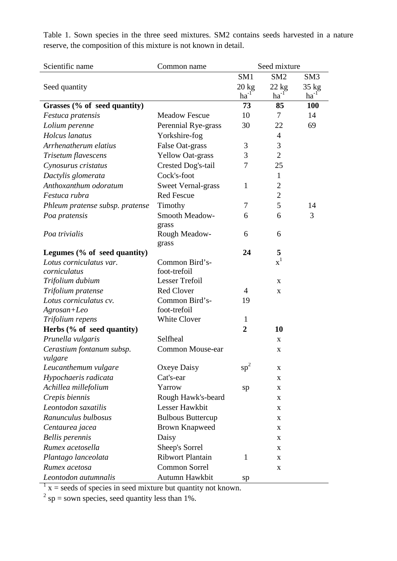| SM <sub>1</sub><br>SM <sub>2</sub><br>SM <sub>3</sub><br>$20 \text{ kg}$<br>$22 \text{ kg}$<br>$35 \text{ kg}$<br>Seed quantity<br>$ha^{-1}$<br>$ha^{-1}$<br>$ha^{-1}$<br>73<br><b>100</b><br>Grasses (% of seed quantity)<br>85<br>7<br><b>Meadow Fescue</b><br>10<br>14<br>Festuca pratensis<br>30<br>69<br>Perennial Rye-grass<br>22<br>Lolium perenne<br>Holcus lanatus<br>Yorkshire-fog<br>$\overline{4}$ |
|----------------------------------------------------------------------------------------------------------------------------------------------------------------------------------------------------------------------------------------------------------------------------------------------------------------------------------------------------------------------------------------------------------------|
|                                                                                                                                                                                                                                                                                                                                                                                                                |
|                                                                                                                                                                                                                                                                                                                                                                                                                |
|                                                                                                                                                                                                                                                                                                                                                                                                                |
|                                                                                                                                                                                                                                                                                                                                                                                                                |
|                                                                                                                                                                                                                                                                                                                                                                                                                |
|                                                                                                                                                                                                                                                                                                                                                                                                                |
|                                                                                                                                                                                                                                                                                                                                                                                                                |
| 3<br>Arrhenatherum elatius<br>3<br>False Oat-grass                                                                                                                                                                                                                                                                                                                                                             |
| $\overline{2}$<br><b>Yellow Oat-grass</b><br>3<br>Trisetum flavescens                                                                                                                                                                                                                                                                                                                                          |
| 7<br>25<br>Cynosurus cristatus<br>Crested Dog's-tail                                                                                                                                                                                                                                                                                                                                                           |
| Cock's-foot<br>Dactylis glomerata<br>1                                                                                                                                                                                                                                                                                                                                                                         |
| Anthoxanthum odoratum<br>$\overline{2}$<br><b>Sweet Vernal-grass</b><br>$\mathbf{1}$                                                                                                                                                                                                                                                                                                                           |
| <b>Red Fescue</b><br>$\overline{2}$<br>Festuca rubra                                                                                                                                                                                                                                                                                                                                                           |
| 5<br>7<br>14<br>Phleum pratense subsp. pratense<br>Timothy                                                                                                                                                                                                                                                                                                                                                     |
| Smooth Meadow-<br>6<br>3<br>Poa pratensis<br>6<br>grass                                                                                                                                                                                                                                                                                                                                                        |
| Poa trivialis<br>Rough Meadow-<br>6<br>6<br>grass                                                                                                                                                                                                                                                                                                                                                              |
| 24<br>5<br>Legumes $(\%$ of seed quantity)                                                                                                                                                                                                                                                                                                                                                                     |
| $x^1$<br>Lotus corniculatus var.<br>Common Bird's-                                                                                                                                                                                                                                                                                                                                                             |
| foot-trefoil<br>corniculatus                                                                                                                                                                                                                                                                                                                                                                                   |
| <b>Lesser Trefoil</b><br>Trifolium dubium<br>X                                                                                                                                                                                                                                                                                                                                                                 |
| Trifolium pratense<br><b>Red Clover</b><br>$\overline{4}$<br>X                                                                                                                                                                                                                                                                                                                                                 |
| Lotus corniculatus cv.<br>Common Bird's-<br>19                                                                                                                                                                                                                                                                                                                                                                 |
| foot-trefoil<br>$A$ grosan+Leo                                                                                                                                                                                                                                                                                                                                                                                 |
| White Clover<br>Trifolium repens<br>1                                                                                                                                                                                                                                                                                                                                                                          |
| Herbs (% of seed quantity)<br>$\overline{2}$<br>10                                                                                                                                                                                                                                                                                                                                                             |
| Selfheal<br>Prunella vulgaris<br>X                                                                                                                                                                                                                                                                                                                                                                             |
| Cerastium fontanum subsp.<br>Common Mouse-ear<br>$\mathbf X$<br>vulgare                                                                                                                                                                                                                                                                                                                                        |
| $sp^2$<br>Leucanthemum vulgare<br>Oxeye Daisy<br>X                                                                                                                                                                                                                                                                                                                                                             |
| Hypochaeris radicata<br>Cat's-ear<br>X                                                                                                                                                                                                                                                                                                                                                                         |
| Yarrow<br>Achillea millefolium<br>sp<br>X                                                                                                                                                                                                                                                                                                                                                                      |
| Crepis biennis<br>Rough Hawk's-beard<br>X                                                                                                                                                                                                                                                                                                                                                                      |
| Leontodon saxatilis<br>Lesser Hawkbit<br>X                                                                                                                                                                                                                                                                                                                                                                     |
| Ranunculus bulbosus<br><b>Bulbous Buttercup</b><br>X                                                                                                                                                                                                                                                                                                                                                           |
| <b>Brown Knapweed</b><br>Centaurea jacea<br>X                                                                                                                                                                                                                                                                                                                                                                  |
| <b>Bellis</b> perennis<br>Daisy<br>X                                                                                                                                                                                                                                                                                                                                                                           |
| Rumex acetosella<br>Sheep's Sorrel<br>X                                                                                                                                                                                                                                                                                                                                                                        |
| <b>Ribwort Plantain</b><br>Plantago lanceolata<br>1<br>X                                                                                                                                                                                                                                                                                                                                                       |
| Common Sorrel<br>Rumex acetosa<br>X                                                                                                                                                                                                                                                                                                                                                                            |
| Autumn Hawkbit<br>Leontodon autumnalis<br>sp                                                                                                                                                                                                                                                                                                                                                                   |

Table 1. Sown species in the three seed mixtures. SM2 contains seeds harvested in a nature reserve, the composition of this mixture is not known in detail.

 $1 x =$  seeds of species in seed mixture but quantity not known.

 $2^{2}$  sp = sown species, seed quantity less than 1%.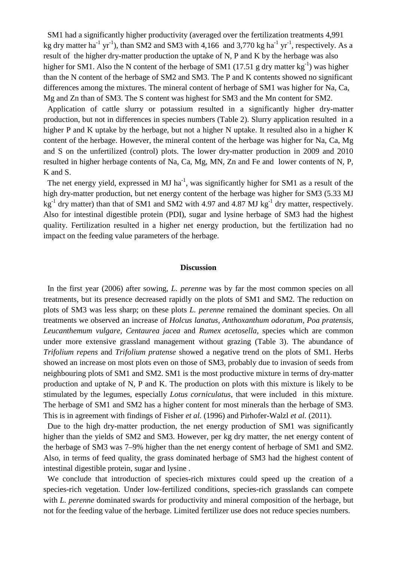SM1 had a significantly higher productivity (averaged over the fertilization treatments 4,991 kg dry matter ha<sup>-1</sup> yr<sup>-1</sup>), than SM2 and SM3 with 4,166 and 3,770 kg ha<sup>-1</sup> yr<sup>-1</sup>, respectively. As a result of the higher dry-matter production the uptake of N, P and K by the herbage was also higher for SM1. Also the N content of the herbage of SM1 (17.51 g dry matter  $kg^{-1}$ ) was higher than the N content of the herbage of SM2 and SM3. The P and K contents showed no significant differences among the mixtures. The mineral content of herbage of SM1 was higher for Na, Ca, Mg and Zn than of SM3. The S content was highest for SM3 and the Mn content for SM2.

 Application of cattle slurry or potassium resulted in a significantly higher dry-matter production, but not in differences in species numbers (Table 2). Slurry application resulted in a higher P and K uptake by the herbage, but not a higher N uptake. It resulted also in a higher K content of the herbage. However, the mineral content of the herbage was higher for Na, Ca, Mg and S on the unfertilized (control) plots. The lower dry-matter production in 2009 and 2010 resulted in higher herbage contents of Na, Ca, Mg, MN, Zn and Fe and lower contents of N, P, K and S.

The net energy yield, expressed in MJ ha<sup>-1</sup>, was significantly higher for SM1 as a result of the high dry-matter production, but net energy content of the herbage was higher for SM3 (5.33 MJ  $kg<sup>-1</sup>$  dry matter) than that of SM1 and SM2 with 4.97 and 4.87 MJ kg<sup>-1</sup> dry matter, respectively. Also for intestinal digestible protein (PDI), sugar and lysine herbage of SM3 had the highest quality. Fertilization resulted in a higher net energy production, but the fertilization had no impact on the feeding value parameters of the herbage.

## **Discussion**

 In the first year (2006) after sowing, *L. perenne* was by far the most common species on all treatments, but its presence decreased rapidly on the plots of SM1 and SM2. The reduction on plots of SM3 was less sharp; on these plots *L. perenne* remained the dominant species. On all treatments we observed an increase of *Holcus lanatus, Anthoxanthum odoratum, Poa pratensis, Leucanthemum vulgare, Centaurea jacea* and *Rumex acetosella,* species which are common under more extensive grassland management without grazing (Table 3). The abundance of *Trifolium repens* and *Trifolium pratense* showed a negative trend on the plots of SM1. Herbs showed an increase on most plots even on those of SM3, probably due to invasion of seeds from neighbouring plots of SM1 and SM2. SM1 is the most productive mixture in terms of dry-matter production and uptake of N, P and K. The production on plots with this mixture is likely to be stimulated by the legumes, especially *Lotus corniculatus,* that were included in this mixture. The herbage of SM1 and SM2 has a higher content for most minerals than the herbage of SM3. This is in agreement with findings of Fisher *et al.* (1996) and Pirhofer-Walzl *et al.* (2011).

 Due to the high dry-matter production, the net energy production of SM1 was significantly higher than the yields of SM2 and SM3. However, per kg dry matter, the net energy content of the herbage of SM3 was 7–9% higher than the net energy content of herbage of SM1 and SM2. Also, in terms of feed quality, the grass dominated herbage of SM3 had the highest content of intestinal digestible protein, sugar and lysine .

 We conclude that introduction of species-rich mixtures could speed up the creation of a species-rich vegetation. Under low-fertilized conditions, species-rich grasslands can compete with *L. perenne* dominated swards for productivity and mineral composition of the herbage, but not for the feeding value of the herbage. Limited fertilizer use does not reduce species numbers.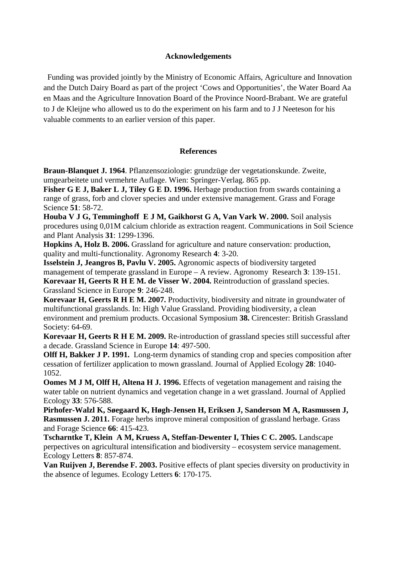# **Acknowledgements**

 Funding was provided jointly by the Ministry of Economic Affairs, Agriculture and Innovation and the Dutch Dairy Board as part of the project 'Cows and Opportunities', the Water Board Aa en Maas and the Agriculture Innovation Board of the Province Noord-Brabant. We are grateful to J de Kleijne who allowed us to do the experiment on his farm and to J J Neeteson for his valuable comments to an earlier version of this paper.

# **References**

**Braun-Blanquet J. 1964**. Pflanzensoziologie: grundzüge der vegetationskunde. Zweite, umgearbeitete und vermehrte Auflage. Wien: Springer-Verlag. 865 pp.

**Fisher G E J, Baker L J, Tiley G E D. 1996.** Herbage production from swards containing a range of grass, forb and clover species and under extensive management. Grass and Forage Science **51**: 58-72.

**Houba V J G, Temminghoff E J M, Gaikhorst G A, Van Vark W. 2000.** Soil analysis procedures using 0,01M calcium chloride as extraction reagent. Communications in Soil Science and Plant Analysis **31**: 1299-1396.

**Hopkins A, Holz B. 2006.** Grassland for agriculture and nature conservation: production, quality and multi-functionality. Agronomy Research **4**: 3-20.

**Isselstein J, Jeangros B, Pavlu V. 2005.** Agronomic aspects of biodiversity targeted management of temperate grassland in Europe – A review. Agronomy Research **3**: 139-151. **Korevaar H, Geerts R H E M. de Visser W. 2004.** Reintroduction of grassland species. Grassland Science in Europe **9**: 246-248.

**Korevaar H, Geerts R H E M. 2007.** Productivity, biodiversity and nitrate in groundwater of multifunctional grasslands. In: High Value Grassland. Providing biodiversity, a clean environment and premium products. Occasional Symposium **38.** Cirencester: British Grassland Society: 64-69.

**Korevaar H, Geerts R H E M. 2009.** Re-introduction of grassland species still successful after a decade. Grassland Science in Europe **14**: 497-500.

**Olff H, Bakker J P. 1991.** Long-term dynamics of standing crop and species composition after cessation of fertilizer application to mown grassland. Journal of Applied Ecology **28**: 1040- 1052.

**Oomes M J M, Olff H, Altena H J. 1996.** Effects of vegetation management and raising the water table on nutrient dynamics and vegetation change in a wet grassland. Journal of Applied Ecology **33**: 576-588.

**Pirhofer-Walzl K, Søegaard K, Høgh-Jensen H, Eriksen J, Sanderson M A, Rasmussen J, Rasmussen J. 2011.** Forage herbs improve mineral composition of grassland herbage. Grass and Forage Science **66**: 415-423.

**Tscharntke T, Klein A M, Kruess A, Steffan-Dewenter I, Thies C C. 2005.** Landscape perpectives on agricultural intensification and biodiversity – ecosystem service management. Ecology Letters **8**: 857-874.

**Van Ruijven J, Berendse F. 2003.** Positive effects of plant species diversity on productivity in the absence of legumes. Ecology Letters **6**: 170-175.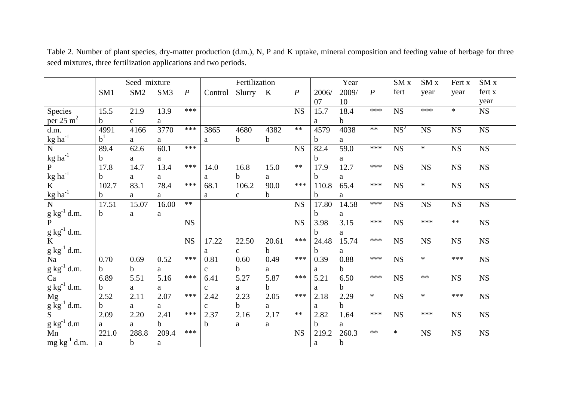|                                    |                 | Seed mixture    |                 |                  |              | Fertilization |              |                  |             | Year  |                  | SM x            | SM <sub>x</sub> | Fert x      | SM <sub>x</sub> |
|------------------------------------|-----------------|-----------------|-----------------|------------------|--------------|---------------|--------------|------------------|-------------|-------|------------------|-----------------|-----------------|-------------|-----------------|
|                                    | SM <sub>1</sub> | SM <sub>2</sub> | SM <sub>3</sub> | $\boldsymbol{P}$ | Control      | Slurry        | $\mathbf{K}$ | $\boldsymbol{P}$ | 2006/       | 2009/ | $\boldsymbol{P}$ | fert            | year            | year        | fert x          |
|                                    |                 |                 |                 |                  |              |               |              |                  | 07          | 10    |                  |                 |                 |             | year            |
| Species                            | 15.5            | 21.9            | 13.9            | ***              |              |               |              | <b>NS</b>        | 15.7        | 18.4  | ***              | <b>NS</b>       | ***             | $\ast$      | <b>NS</b>       |
| per $25 \text{ m}^2$               | $\mathbf b$     | $\mathbf{C}$    | a               |                  |              |               |              |                  | a           | b     |                  |                 |                 |             |                 |
| d.m.                               | 4991            | 4166            | 3770            | ***              | 3865         | 4680          | 4382         | $**$             | 4579        | 4038  | $\ast\ast$       | NS <sup>2</sup> | <b>NS</b>       | $_{\rm NS}$ | ${\rm NS}$      |
| $\text{kg}$ ha <sup>-1</sup>       | $\rm b^1$       | a               | a               |                  | a            | b             | $\mathbf b$  |                  | b           | a     |                  |                 |                 |             |                 |
| ${\bf N}$                          | 89.4            | 62.6            | 60.1            | ***              |              |               |              | NS               | 82.4        | 59.0  | ***              | <b>NS</b>       | $\ast$          | NS          | <b>NS</b>       |
| $\text{kg}\ \text{ha}^{\text{-1}}$ | b               | a               | a               |                  |              |               |              |                  | $\mathbf b$ | a     |                  |                 |                 |             |                 |
| $\mathbf{P}$                       | 17.8            | 14.7            | 13.4            | $***$            | 14.0         | 16.8          | 15.0         | $**$             | 17.9        | 12.7  | ***              | <b>NS</b>       | <b>NS</b>       | <b>NS</b>   | ${\rm NS}$      |
| $\text{kg}\ \text{ha}^{\text{-1}}$ | b               | a               | a               |                  | a            | b             | a            |                  | $\mathbf b$ | a     |                  |                 |                 |             |                 |
| K                                  | 102.7           | 83.1            | 78.4            | ***              | 68.1         | 106.2         | 90.0         | ***              | 110.8       | 65.4  | ***              | <b>NS</b>       | $\ast$          | <b>NS</b>   | ${\rm NS}$      |
| $\text{kg}\:\text{ha}^{\text{-1}}$ | b               | a               | a               |                  | a            | $\mathbf{C}$  | $\mathbf b$  |                  | $\mathbf b$ | a     |                  |                 |                 |             |                 |
| $\overline{N}$                     | 17.51           | 15.07           | 16.00           | $**$             |              |               |              | NS               | 17.80       | 14.58 | $***$            | <b>NS</b>       | <b>NS</b>       | <b>NS</b>   | ${\rm NS}$      |
| $g kg^{-1} d.m.$<br>P              | $\mathbf b$     | a               | $\rm{a}$        |                  |              |               |              |                  | b           | a     |                  |                 |                 |             |                 |
|                                    |                 |                 |                 | <b>NS</b>        |              |               |              | <b>NS</b>        | 3.98        | 3.15  | ***              | <b>NS</b>       | ***             | $**$        | ${\rm NS}$      |
| $g kg^{-1} d.m.$                   |                 |                 |                 |                  |              |               |              |                  | $\mathbf b$ | a     |                  |                 |                 |             |                 |
| K                                  |                 |                 |                 | <b>NS</b>        | 17.22        | 22.50         | 20.61        | ***              | 24.48       | 15.74 | ***              | <b>NS</b>       | <b>NS</b>       | $_{\rm NS}$ | ${\rm NS}$      |
| $g kg^{-1} d.m.$                   |                 |                 |                 |                  | a            | $\mathbf{C}$  | $\mathbf b$  |                  | $\mathbf b$ | a     |                  |                 |                 |             |                 |
| Na                                 | 0.70            | 0.69            | 0.52            | ***              | 0.81         | 0.60          | 0.49         | ***              | 0.39        | 0.88  | ***              | <b>NS</b>       | $\ast$          | ***         | $_{\rm NS}$     |
| $g kg^{-1} d.m.$                   | b.              | b.              | a               |                  | $\mathbf{C}$ | b             | a            |                  | a           | b     |                  |                 |                 |             |                 |
| Ca                                 | 6.89            | 5.51            | 5.16            | ***              | 6.41         | 5.27          | 5.87         | $***$            | 5.21        | 6.50  | ***              | <b>NS</b>       | $\ast\ast$      | <b>NS</b>   | ${\rm NS}$      |
| $g kg^{-1} d.m.$                   | b               | a               | a               |                  | $\mathbf{C}$ | a             | b            |                  | a           | b     |                  |                 |                 |             |                 |
| Mg                                 | 2.52            | 2.11            | 2.07            | ***              | 2.42         | 2.23          | 2.05         | ***              | 2.18        | 2.29  | $\ast$           | <b>NS</b>       | $\ast$          | ***         | ${\rm NS}$      |
| $g \text{ kg}^{-1}$ d.m.           | $\mathbf b$     | a               | a               |                  | $\mathbf{C}$ | b             | a            |                  | a           | b     |                  |                 |                 |             |                 |
| S                                  | 2.09            | 2.20            | 2.41            | ***              | 2.37         | 2.16          | 2.17         | $**$             | 2.82        | 1.64  | ***              | <b>NS</b>       | ***             | <b>NS</b>   | $_{\rm NS}$     |
| $g kg^{-1} d.m$                    | a               | a               | $\mathbf b$     |                  | b            | a             | a            |                  | $\mathbf b$ | a     |                  |                 |                 |             |                 |
| Mn                                 | 221.0           | 288.8           | 209.4           | ***              |              |               |              | <b>NS</b>        | 219.2       | 260.3 | $**$             | $\ast$          | <b>NS</b>       | <b>NS</b>   | <b>NS</b>       |
| $mg \, kg^{-1}$ d.m.               | a               | $\mathbf b$     | a               |                  |              |               |              |                  | a           | b     |                  |                 |                 |             |                 |

Table 2. Number of plant species, dry-matter production (d.m.), N, P and K uptake, mineral composition and feeding value of herbage for three seed mixtures, three fertilization applications and two periods.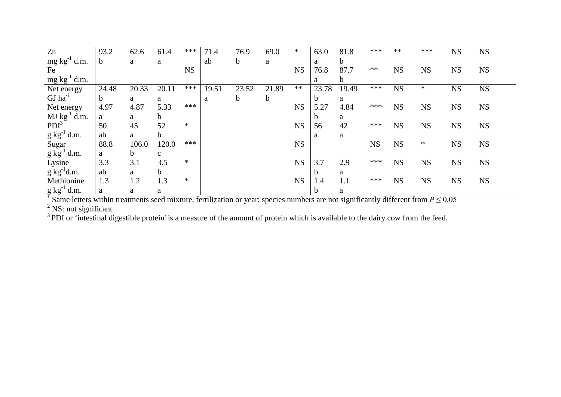| Zn                       | 93.2        | 62.6  | 61.4         | ***       | 71.4  | 76.9        | 69.0        | $\ast$    | 63.0  | 81.8  | ***       | $**$      | ***       | <b>NS</b> | <b>NS</b> |
|--------------------------|-------------|-------|--------------|-----------|-------|-------------|-------------|-----------|-------|-------|-----------|-----------|-----------|-----------|-----------|
| $mg \, kg^{-1}$ d.m.     | $\mathbf b$ | a     | a            |           | ab    | $\mathbf b$ | a           |           | a     | b     |           |           |           |           |           |
| Fe                       |             |       |              | <b>NS</b> |       |             |             | <b>NS</b> | 76.8  | 87.7  | $**$      | <b>NS</b> | <b>NS</b> | <b>NS</b> | <b>NS</b> |
| $mg \, kg^{-1}$ d.m.     |             |       |              |           |       |             |             |           | a     | b.    |           |           |           |           |           |
| Net energy               | 24.48       | 20.33 | 20.11        | ***       | 19.51 | 23.52       | 21.89       | $**$      | 23.78 | 19.49 | ***       | <b>NS</b> | $\ast$    | <b>NS</b> | <b>NS</b> |
| $GJ$ ha <sup>-1</sup>    | b           | a     | a            |           | a     | $\mathbf b$ | $\mathbf b$ |           |       | a     |           |           |           |           |           |
| Net energy               | 4.97        | 4.87  | 5.33         | ***       |       |             |             | <b>NS</b> | 5.27  | 4.84  | ***       | <b>NS</b> | <b>NS</b> | <b>NS</b> | <b>NS</b> |
| $MJ kg^{-1} d.m.$        | a           | a     | $\mathbf b$  |           |       |             |             |           | b     | a     |           |           |           |           |           |
| PDI <sup>3</sup>         | 50          | 45    | 52           | $\ast$    |       |             |             | <b>NS</b> | 56    | 42    | ***       | <b>NS</b> | <b>NS</b> | <b>NS</b> | <b>NS</b> |
| $g kg^{-1} d.m.$         | ab          | a     | b            |           |       |             |             |           | a     | a     |           |           |           |           |           |
| Sugar                    | 88.8        | 106.0 | 120.0        | ***       |       |             |             | <b>NS</b> |       |       | <b>NS</b> | <b>NS</b> | $\ast$    | <b>NS</b> | <b>NS</b> |
| $g \text{ kg}^{-1}$ d.m. | a           | b.    | $\mathbf{C}$ |           |       |             |             |           |       |       |           |           |           |           |           |
| Lysine                   | 3.3         | 3.1   | 3.5          | $\ast$    |       |             |             | <b>NS</b> | 3.7   | 2.9   | ***       | <b>NS</b> | <b>NS</b> | <b>NS</b> | <b>NS</b> |
| $g \text{ kg}^{-1}$ d.m. | ab          | a     | $\mathbf b$  |           |       |             |             |           | b     | a     |           |           |           |           |           |
| Methionine               | 1.3         | 1.2   | 1.3          | $\ast$    |       |             |             | <b>NS</b> | 1.4   | 1.1   | ***       | <b>NS</b> | <b>NS</b> | <b>NS</b> | <b>NS</b> |
| $g kg^{-1} d.m.$         | a           | a     | a            |           |       |             |             |           |       | a     |           |           |           |           |           |

<sup>1</sup> Same letters within treatments seed mixture, fertilization or year: species numbers are not significantly different from  $P \le 0.05$ 

 $2$  NS: not significant

 $3$  PDI or 'intestinal digestible protein' is a measure of the amount of protein which is available to the dairy cow from the feed.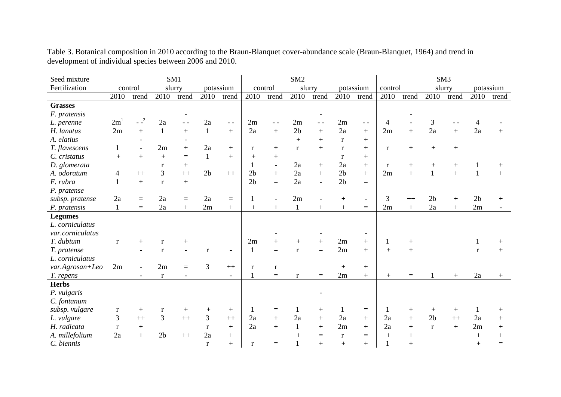| Seed mixture     |                   |                          |                | SM1              |                |         | SM <sub>2</sub> |                          |                  |                  |                |                          |                | SM <sub>3</sub> |                |                   |                |        |  |  |
|------------------|-------------------|--------------------------|----------------|------------------|----------------|---------|-----------------|--------------------------|------------------|------------------|----------------|--------------------------|----------------|-----------------|----------------|-------------------|----------------|--------|--|--|
| Fertilization    | slurry<br>control |                          | potassium      |                  |                | control |                 | slurry                   | potassium        |                  | control        |                          | slurry         |                 | potassium      |                   |                |        |  |  |
|                  | 2010              | trend                    | 2010           | trend            | 2010           | trend   | 2010            | trend                    | 2010             | trend            | 2010           | trend                    | 2010           | trend           | 2010           | trend             | 2010           | trend  |  |  |
| <b>Grasses</b>   |                   |                          |                |                  |                |         |                 |                          |                  |                  |                |                          |                |                 |                |                   |                |        |  |  |
| F. pratensis     |                   |                          |                |                  |                |         |                 |                          |                  |                  |                |                          |                |                 |                |                   |                |        |  |  |
| L. perenne       | 2m <sup>1</sup>   | $-2$                     | 2a             | $ -$             | 2a             | $ -$    | 2m              | $ -$                     | 2m               | $ -$             | 2m             | $ -$                     | $\overline{4}$ |                 | 3              |                   | 4              |        |  |  |
| H. lanatus       | 2m                | $+$                      | $\mathbf{1}$   | $+$              | $\mathbf{1}$   | $+$     | 2a              | $+$                      | 2 <sub>b</sub>   | $+$              | 2a             | $+$                      | 2m             | $+$             | 2a             | $+$               | 2a             |        |  |  |
| A. elatius       |                   |                          |                |                  |                |         |                 |                          | $+$              | $+$              | $\mathbf{r}$   | $+$                      |                |                 |                |                   |                |        |  |  |
| T. flavescens    | $\mathbf{1}$      | $\mathbf{r}$             | 2m             | $+$              | 2a             | $+$     | r               | $+$                      | $\mathbf{r}$     | $+$              | $\mathbf{r}$   | $+$                      | $\mathbf{r}$   | $+$             | $^{+}$         | $+$               |                |        |  |  |
| C. cristatus     | $+$               | $+$                      | $+$            | $\equiv$         | $\mathbf{1}$   | $+$     | $+$             | $+$                      |                  |                  | r              | $+$                      |                |                 |                |                   |                |        |  |  |
| D. glomerata     |                   |                          | r              | $+$              |                |         |                 | $\overline{\phantom{a}}$ | 2a               | $+$              | 2a             | $+$                      | $\mathbf{r}$   | $^{+}$          |                | $+$               |                | $^{+}$ |  |  |
| A. odoratum      | 4                 | $++$                     | $\overline{3}$ | $++$             | 2 <sub>b</sub> | $++$    | 2 <sub>b</sub>  | $+$                      | 2a               | $+$              | 2 <sub>b</sub> | $+$                      | 2m             | $+$             | $\mathbf{1}$   | $+$               | $\mathbf{1}$   | $+$    |  |  |
| F. rubra         | $\mathbf{1}$      | $+$                      | $\mathbf{r}$   | $+$              |                |         | 2 <sub>b</sub>  | $=$                      | 2a               | $\blacksquare$   | 2 <sub>b</sub> | $=$                      |                |                 |                |                   |                |        |  |  |
| P. pratense      |                   |                          |                |                  |                |         |                 |                          |                  |                  |                |                          |                |                 |                |                   |                |        |  |  |
| subsp. pratense  | 2a                | $=$                      | 2a             | $\equiv$         | 2a             | $=$     | 1               | $\overline{\phantom{a}}$ | 2m               |                  | $^{+}$         | $\overline{\phantom{a}}$ | 3              | $++$            | 2 <sub>b</sub> | $+$               | 2 <sub>b</sub> | $^{+}$ |  |  |
| P. pratensis     | $\mathbf{1}$      | $=$                      | 2a             | $\ddot{}$        | 2m             | $+$     | $+$             | $\boldsymbol{+}$         | $\mathbf{1}$     | $\boldsymbol{+}$ | $+$            | $=$                      | 2m             | $+$             | 2a             | $+$               | 2m             |        |  |  |
| <b>Legumes</b>   |                   |                          |                |                  |                |         |                 |                          |                  |                  |                |                          |                |                 |                |                   |                |        |  |  |
| L. corniculatus  |                   |                          |                |                  |                |         |                 |                          |                  |                  |                |                          |                |                 |                |                   |                |        |  |  |
| var.corniculatus |                   |                          |                |                  |                |         |                 |                          |                  |                  |                |                          |                |                 |                |                   |                |        |  |  |
| T. dubium        | $\mathbf{r}$      | $^{+}$                   | $\mathbf{r}$   | $^{+}$           |                |         | 2m              | $+$                      | $\boldsymbol{+}$ | $+$              | 2m             | $+$                      |                | $+$             |                |                   |                | $^+$   |  |  |
| T. pratense      |                   |                          | $\mathbf{r}$   |                  | $\mathbf{r}$   |         | $\mathbf{1}$    | $=$                      | $\mathbf{r}$     | $=$              | 2m             | $+$                      | $+$            | $+$             |                |                   | $\mathbf{r}$   | $+$    |  |  |
| L. corniculatus  |                   |                          |                |                  |                |         |                 |                          |                  |                  |                |                          |                |                 |                |                   |                |        |  |  |
| var.Agrosan+Leo  | 2m                | $\overline{\phantom{a}}$ | 2m             | $\equiv$         | 3              | $++$    | r               | r                        |                  |                  | $^{+}$         | $+$                      |                |                 |                |                   |                |        |  |  |
| T. repens        |                   |                          | $\mathbf{r}$   |                  |                |         |                 | $=$                      | $\mathbf{r}$     | $=$              | 2m             | $+$                      | $^{+}$         | $=$             |                |                   | 2a             |        |  |  |
| <b>Herbs</b>     |                   |                          |                |                  |                |         |                 |                          |                  |                  |                |                          |                |                 |                |                   |                |        |  |  |
| P. vulgaris      |                   |                          |                |                  |                |         |                 |                          |                  |                  |                |                          |                |                 |                |                   |                |        |  |  |
| C. fontanum      |                   |                          |                |                  |                |         |                 |                          |                  |                  |                |                          |                |                 |                |                   |                |        |  |  |
| subsp. vulgare   | r                 | $\mathrm{+}$             | $\mathbf{r}$   | $\boldsymbol{+}$ | $^{+}$         | $^{+}$  |                 | $\equiv$                 | 1                | $+$              | 1              | $\quad \  \  =$          |                | $^{+}$          | $^{+}$         | $+$               |                | $+$    |  |  |
| L. vulgare       | 3                 | $++$                     | $\overline{3}$ | $+$              | $\overline{3}$ | $++$    | 2a              | $+$                      | 2a               | $+$              | 2a             | $+$                      | 2a             | $+$             | 2 <sub>b</sub> | $\boldsymbol{++}$ | 2a             | $+$    |  |  |
| H. radicata      | $\mathbf{r}$      | $+$                      |                |                  | $\mathbf{r}$   | $+$     | 2a              | $+$                      | $\mathbf{1}$     | $+$              | 2m             | $+$                      | 2a             | $+$             | $\mathbf{r}$   | $+$               | 2m             | $^{+}$ |  |  |
| A. millefolium   | 2a                | $+$                      | 2 <sub>b</sub> | $++$             | 2a             | $+$     |                 |                          | $+$              | $\equiv$         | $\bf r$        | $\equiv$                 | $+$            | $+$             |                |                   | $+$            |        |  |  |
| C. biennis       |                   |                          |                |                  | $\mathbf{r}$   | $+$     | r               | $=$                      | $\mathbf{1}$     | $+$              | $+$            | $^{+}$                   |                | $\ddot{}$       |                |                   | $+$            | $=$    |  |  |

Table 3. Botanical composition in 2010 according to the Braun-Blanquet cover-abundance scale (Braun-Blanquet, 1964) and trend in development of individual species between 2006 and 2010.